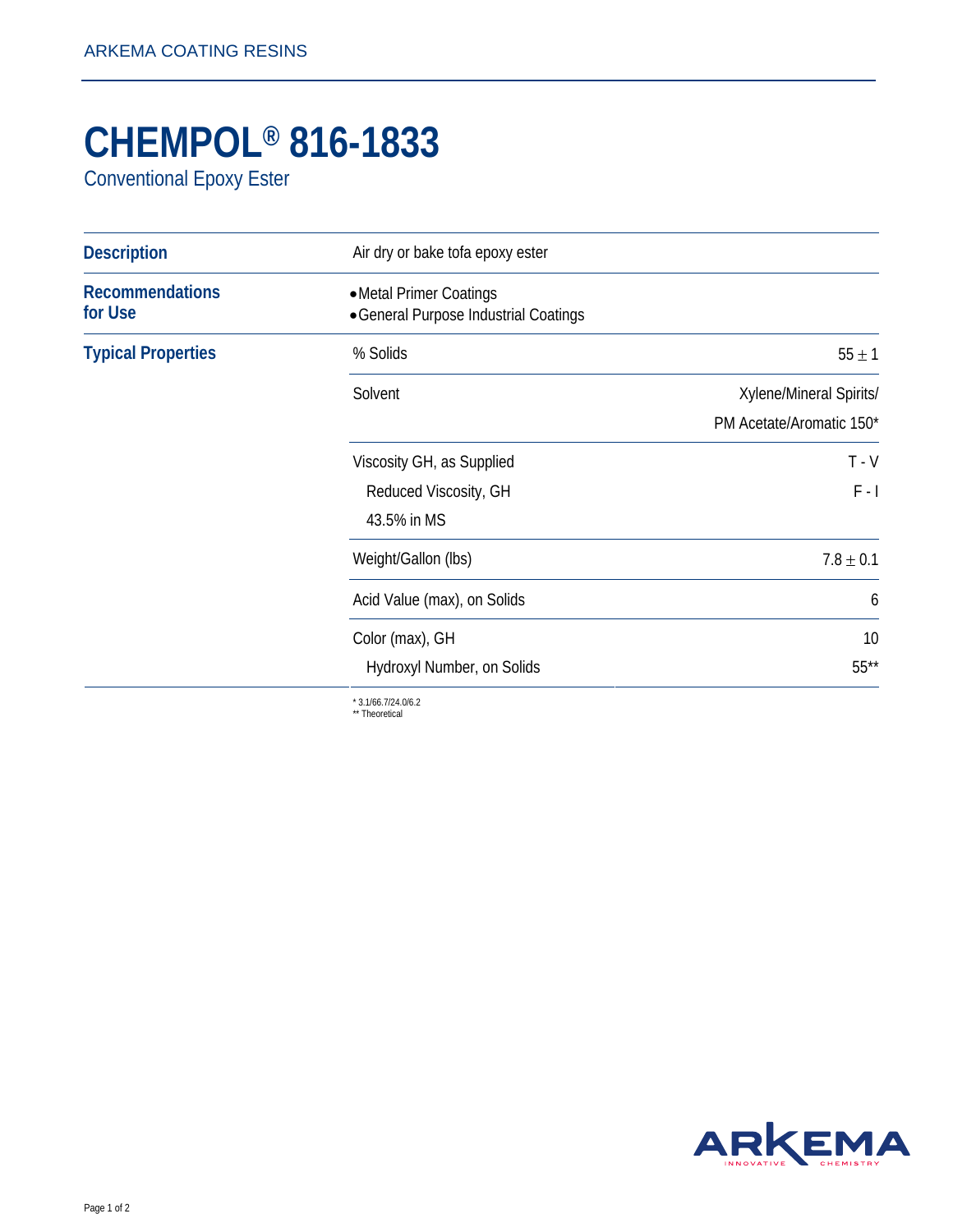## **CHEMPOL® 816-1833**

Conventional Epoxy Ester

| <b>Description</b>                | Air dry or bake tofa epoxy ester                                  |                                                     |
|-----------------------------------|-------------------------------------------------------------------|-----------------------------------------------------|
| <b>Recommendations</b><br>for Use | • Metal Primer Coatings<br>• General Purpose Industrial Coatings  |                                                     |
| <b>Typical Properties</b>         | % Solids                                                          | $55 \pm 1$                                          |
|                                   | Solvent                                                           | Xylene/Mineral Spirits/<br>PM Acetate/Aromatic 150* |
|                                   | Viscosity GH, as Supplied<br>Reduced Viscosity, GH<br>43.5% in MS | $T - V$<br>$F - I$                                  |
|                                   | Weight/Gallon (lbs)                                               | $7.8 \pm 0.1$                                       |
|                                   | Acid Value (max), on Solids                                       | 6                                                   |
|                                   | Color (max), GH<br>Hydroxyl Number, on Solids                     | 10<br>$55***$                                       |

\* 3.1/66.7/24.0/6.2 \*\* Theoretical